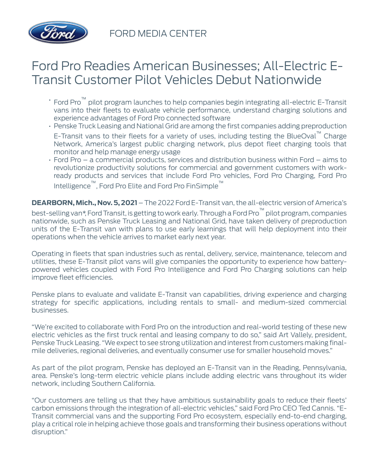

FORD MEDIA CENTER

## Ford Pro Readies American Businesses; All-Electric E-Transit Customer Pilot Vehicles Debut Nationwide

- Ford Pro™ pilot program launches to help companies begin integrating all-electric E-Transit vans into their fleets to evaluate vehicle performance, understand charging solutions and experience advantages of Ford Pro connected software
- Penske Truck Leasing and National Grid are among the first companies adding preproduction
- E-Transit vans to their fleets for a variety of uses, including testing the BlueOval™ Charge Network, America's largest public charging network, plus depot fleet charging tools that monitor and help manage energy usage
- Ford Pro a commercial products, services and distribution business within Ford aims to revolutionize productivity solutions for commercial and government customers with workready products and services that include Ford Pro vehicles, Ford Pro Charging, Ford Pro Intelligence™, Ford Pro Elite and Ford Pro FinSimple™

**DEARBORN, Mich., Nov. 5, 2021** – The 2022 Ford E-Transit van, the all-electric version of America's best-selling van\*, Ford Transit, is getting to work early. Through a Ford Pro™ pilot program, companies nationwide, such as Penske Truck Leasing and National Grid, have taken delivery of preproduction units of the E-Transit van with plans to use early learnings that will help deployment into their operations when the vehicle arrives to market early next year.

Operating in fleets that span industries such as rental, delivery, service, maintenance, telecom and utilities, these E-Transit pilot vans will give companies the opportunity to experience how batterypowered vehicles coupled with Ford Pro Intelligence and Ford Pro Charging solutions can help improve fleet efficiencies.

Penske plans to evaluate and validate E-Transit van capabilities, driving experience and charging strategy for specific applications, including rentals to small- and medium-sized commercial businesses.

"We're excited to collaborate with Ford Pro on the introduction and real-world testing of these new electric vehicles as the first truck rental and leasing company to do so," said Art Vallely, president, Penske Truck Leasing. "We expect to see strong utilization and interest from customers making finalmile deliveries, regional deliveries, and eventually consumer use for smaller household moves."

As part of the pilot program, Penske has deployed an E-Transit van in the Reading, Pennsylvania, area. Penske's long-term electric vehicle plans include adding electric vans throughout its wider network, including Southern California.

"Our customers are telling us that they have ambitious sustainability goals to reduce their fleets' carbon emissions through the integration of all-electric vehicles," said Ford Pro CEO Ted Cannis. "E-Transit commercial vans and the supporting Ford Pro ecosystem, especially end-to-end charging, play a critical role in helping achieve those goals and transforming their business operations without disruption."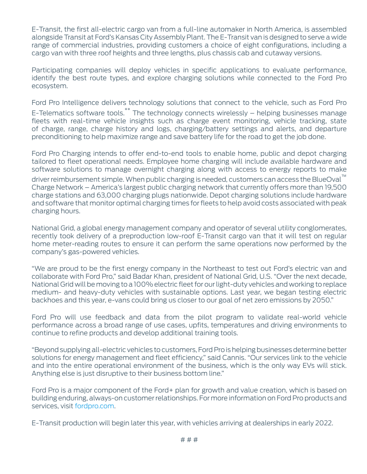E-Transit, the first all-electric cargo van from a full-line automaker in North America, is assembled alongside Transit at Ford's Kansas City Assembly Plant. The E-Transit van is designed to serve a wide range of commercial industries, providing customers a choice of eight configurations, including a cargo van with three roof heights and three lengths, plus chassis cab and cutaway versions.

Participating companies will deploy vehicles in specific applications to evaluate performance, identify the best route types, and explore charging solutions while connected to the Ford Pro ecosystem.

Ford Pro Intelligence delivers technology solutions that connect to the vehicle, such as Ford Pro

E-Telematics software tools.\*\* The technology connects wirelessly - helping businesses manage fleets with real-time vehicle insights such as charge event monitoring, vehicle tracking, state of charge, range, charge history and logs, charging/battery settings and alerts, and departure preconditioning to help maximize range and save battery life for the road to get the job done.

Ford Pro Charging intends to offer end-to-end tools to enable home, public and depot charging tailored to fleet operational needs. Employee home charging will include available hardware and software solutions to manage overnight charging along with access to energy reports to make driver reimbursement simple. When public charging is needed, customers can access the BlueOval<sup>™</sup> Charge Network – America's largest public charging network that currently offers more than 19,500 charge stations and 63,000 charging plugs nationwide. Depot charging solutions include hardware and software that monitor optimal charging times for fleets to help avoid costs associated with peak charging hours.

National Grid, a global energy management company and operator of several utility conglomerates, recently took delivery of a preproduction low-roof E-Transit cargo van that it will test on regular home meter-reading routes to ensure it can perform the same operations now performed by the company's gas-powered vehicles.

"We are proud to be the first energy company in the Northeast to test out Ford's electric van and collaborate with Ford Pro," said Badar Khan, president of National Grid, U.S. "Over the next decade, National Grid will be moving to a 100% electric fleet for our light-duty vehicles and working to replace medium- and heavy-duty vehicles with sustainable options. Last year, we began testing electric backhoes and this year, e-vans could bring us closer to our goal of net zero emissions by 2050."

Ford Pro will use feedback and data from the pilot program to validate real-world vehicle performance across a broad range of use cases, upfits, temperatures and driving environments to continue to refine products and develop additional training tools.

"Beyond supplying all-electric vehicles to customers, Ford Pro is helping businesses determine better solutions for energy management and fleet efficiency," said Cannis. "Our services link to the vehicle and into the entire operational environment of the business, which is the only way EVs will stick. Anything else is just disruptive to their business bottom line."

Ford Pro is a major component of the Ford+ plan for growth and value creation, which is based on building enduring, always-on customer relationships. For more information on Ford Pro products and services, visit [fordpro.com.](https://pro.ford.com/en-us/)

E-Transit production will begin later this year, with vehicles arriving at dealerships in early 2022.